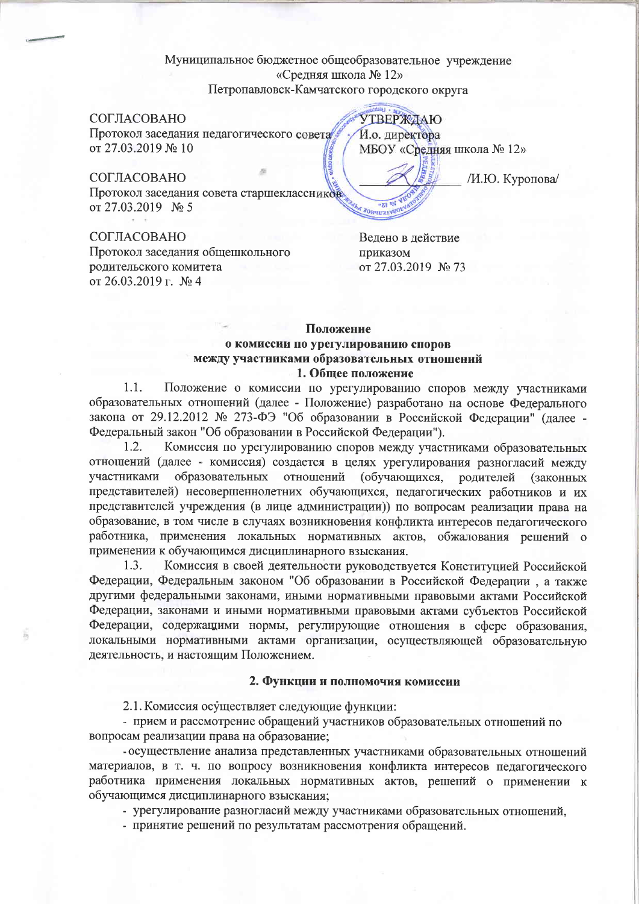# Муниципальное бюджетное общеобразовательное учреждение «Средняя школа № 12» Петропавловск-Камчатского городского округа

## СОГЛАСОВАНО

Протокол заседания педагогического совета от 27.03.2019 № 10

## СОГЛАСОВАНО

Протокол заседания совета старшеклассников от 27.03.2019 № 5

### СОГЛАСОВАНО

Протокол заседания общешкольного родительского комитета от 26.03.2019 г. № 4

**УТВЕРЖДАЮ** И.о. директора МБОУ «Средняя школа № 12»

/И.Ю. Куропова/

Ведено в действие приказом от 27.03.2019 № 73

# Положение о комиссии по урегулированию споров между участниками образовательных отношений 1. Общее положение

Положение о комиссии по урегулированию споров между участниками  $1.1.$ образовательных отношений (далее - Положение) разработано на основе Федерального закона от 29.12.2012 № 273-ФЭ "Об образовании в Российской Федерации" (далее -Федеральный закон "Об образовании в Российской Федерации").

1.2. Комиссия по урегулированию споров между участниками образовательных отношений (далее - комиссия) создается в целях урегулирования разногласий между образовательных отношений (обучающихся, участниками родителей **(законных)** представителей) несовершеннолетних обучающихся, педагогических работников и их представителей учреждения (в лице администрации)) по вопросам реализации права на образование, в том числе в случаях возникновения конфликта интересов педагогического работника, применения локальных нормативных актов, обжалования решений о применении к обучающимся дисциплинарного взыскания.

1.3. Комиссия в своей деятельности руководствуется Конституцией Российской Федерации, Федеральным законом "Об образовании в Российской Федерации, а также другими федеральными законами, иными нормативными правовыми актами Российской Федерации, законами и иными нормативными правовыми актами субъектов Российской Федерации, содержащими нормы, регулирующие отношения в сфере образования, локальными нормативными актами организации, осуществляющей образовательную деятельность, и настоящим Положением.

#### 2. Функции и полномочия комиссии

2.1. Комиссия осуществляет следующие функции:

- прием и рассмотрение обращений участников образовательных отношений по вопросам реализации права на образование;

- осуществление анализа представленных участниками образовательных отношений материалов, в т. ч. по вопросу возникновения конфликта интересов педагогического работника применения локальных нормативных актов, решений о применении к обучающимся дисциплинарного взыскания;

- урегулирование разногласий между участниками образовательных отношений,

- принятие решений по результатам рассмотрения обращений.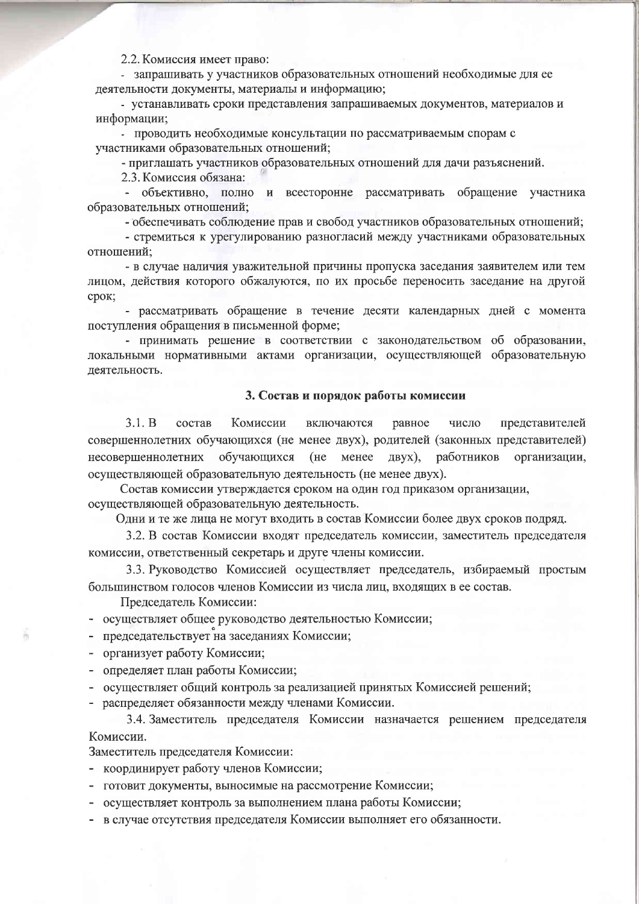2.2. Комиссия имеет право:

- запрашивать у участников образовательных отношений необходимые для ее деятельности документы, материалы и информацию;

- устанавливать сроки представления запрашиваемых документов, материалов и информации:

- проводить необходимые консультации по рассматриваемым спорам с участниками образовательных отношений:

- приглашать участников образовательных отношений для дачи разъяснений.

2.3. Комиссия обязана:

- объективно, полно и всесторонне рассматривать обращение участника образовательных отношений:

- обеспечивать соблюдение прав и свобод участников образовательных отношений;

- стремиться к урегулированию разногласий между участниками образовательных отношений:

- в случае наличия уважительной причины пропуска заседания заявителем или тем лицом, действия которого обжалуются, по их просьбе переносить заседание на другой срок;

- рассматривать обращение в течение десяти календарных дней с момента поступления обращения в письменной форме;

- принимать решение в соответствии с законодательством об образовании, локальными нормативными актами организации, осуществляющей образовательную деятельность.

#### 3. Состав и порядок работы комиссии

состав  $3.1 \cdot B$ Комиссии включаются равное число представителей совершеннолетних обучающихся (не менее двух), родителей (законных представителей) несовершеннолетних обучающихся (не менее двух), работников организации. осуществляющей образовательную деятельность (не менее двух).

Состав комиссии утверждается сроком на один год приказом организации, осуществляющей образовательную деятельность.

Одни и те же лица не могут входить в состав Комиссии более двух сроков подряд.

3.2. В состав Комиссии входят председатель комиссии, заместитель председателя комиссии, ответственный секретарь и друге члены комиссии.

3.3. Руководство Комиссией осуществляет председатель, избираемый простым большинством голосов членов Комиссии из числа лиц, входящих в ее состав.

Председатель Комиссии:

- осуществляет общее руководство деятельностью Комиссии;

председательствует на заседаниях Комиссии;

- организует работу Комиссии;

- определяет план работы Комиссии;

- осуществляет общий контроль за реализацией принятых Комиссией решений;

- распределяет обязанности между членами Комиссии.

3.4. Заместитель председателя Комиссии назначается решением председателя Комиссии.

Заместитель председателя Комиссии:

- координирует работу членов Комиссии;

- готовит документы, выносимые на рассмотрение Комиссии;

- осуществляет контроль за выполнением плана работы Комиссии;

- в случае отсутствия председателя Комиссии выполняет его обязанности.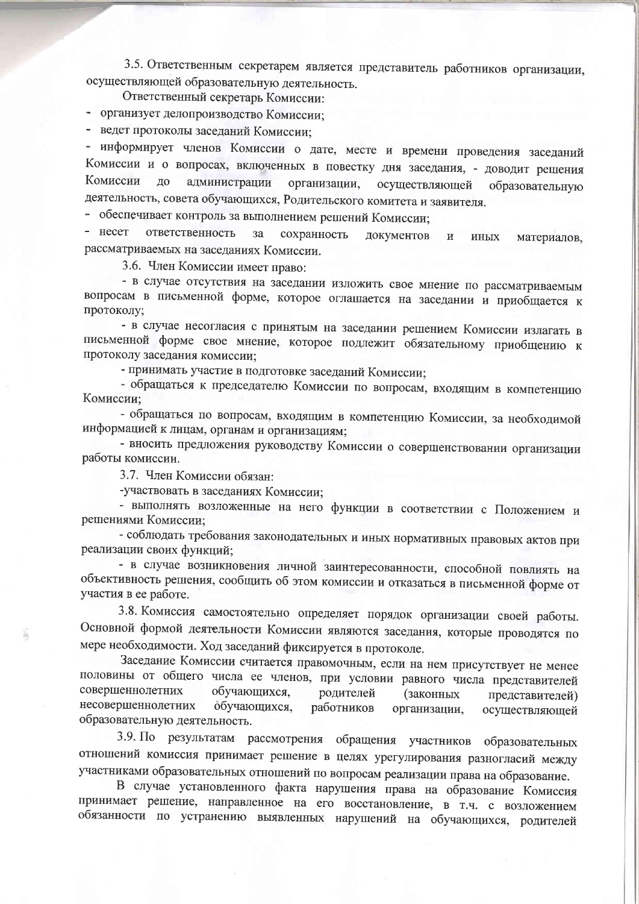3.5. Ответственным секретарем является представитель работников организации, осуществляющей образовательную деятельность.

Ответственный секретарь Комиссии:

- организует делопроизводство Комиссии;

- ведет протоколы заседаний Комиссии;

- информирует членов Комиссии о дате, месте и времени проведения заседаний Комиссии и о вопросах, включенных в повестку дня заседания, - доводит решения Комиссии ДО администрации организации. осуществляющей образовательную деятельность, совета обучающихся, Родительского комитета и заявителя.

- обеспечивает контроль за выполнением решений Комиссии;

- несет ответственность  $3a$ сохранность документов материалов,  $\,$   $\,$   $\,$ иных рассматриваемых на заседаниях Комиссии.

3.6. Член Комиссии имеет право:

- в случае отсутствия на заседании изложить свое мнение по рассматриваемым вопросам в письменной форме, которое оглашается на заседании и приобщается к протоколу;

- в случае несогласия с принятым на заседании решением Комиссии излагать в письменной форме свое мнение, которое подлежит обязательному приобщению к протоколу заседания комиссии:

- принимать участие в подготовке заседаний Комиссии;

- обращаться к председателю Комиссии по вопросам, входящим в компетенцию Комиссии:

- обращаться по вопросам, входящим в компетенцию Комиссии, за необходимой информацией к лицам, органам и организациям;

- вносить предложения руководству Комиссии о совершенствовании организации работы комиссии.

3.7. Член Комиссии обязан:

-участвовать в заседаниях Комиссии;

- выполнять возложенные на него функции в соответствии с Положением и решениями Комиссии:

- соблюдать требования законодательных и иных нормативных правовых актов при реализации своих функций:

- в случае возникновения личной заинтересованности, способной повлиять на объективность решения, сообщить об этом комиссии и отказаться в письменной форме от участия в ее работе.

3.8. Комиссия самостоятельно определяет порядок организации своей работы. Основной формой деятельности Комиссии являются заседания, которые проводятся по мере необходимости. Ход заседаний фиксируется в протоколе.

Заседание Комиссии считается правомочным, если на нем присутствует не менее половины от общего числа ее членов, при условии равного числа представителей совершеннолетних обучающихся, родителей (законных представителей) несовершеннолетних обучающихся, работников организации, осуществляющей образовательную деятельность.

3.9. По результатам рассмотрения обращения участников образовательных отношений комиссия принимает решение в целях урегулирования разногласий между участниками образовательных отношений по вопросам реализации права на образование.

В случае установленного факта нарушения права на образование Комиссия принимает решение, направленное на его восстановление, в т.ч. с возложением обязанности по устранению выявленных нарушений на обучающихся, родителей